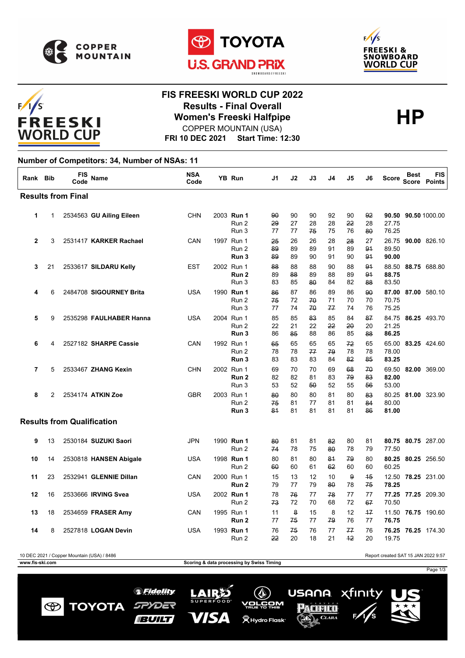







### **FIS FREESKI WORLD CUP 2022 Results - Final Overall<br>
Women's Freeski Halfpipe<br>
COPPER MOUNTAIN (USA)** COPPER MOUNTAIN (USA)

**FRI 10 DEC 2021 Start Time: 12:30**

#### **Number of Competitors: 34, Number of NSAs: 11**

| Rank Bib                          |    | FIS<br>Code | Name                     | <b>NSA</b><br>Code |  | YB Run                                  | J1             | J2             | J3             | J4                 | J5             | J6             | <b>Score</b>            | <b>Best</b><br><b>Score</b> | <b>FIS</b><br><b>Points</b> |
|-----------------------------------|----|-------------|--------------------------|--------------------|--|-----------------------------------------|----------------|----------------|----------------|--------------------|----------------|----------------|-------------------------|-----------------------------|-----------------------------|
| <b>Results from Final</b>         |    |             |                          |                    |  |                                         |                |                |                |                    |                |                |                         |                             |                             |
| 1                                 | 1  |             | 2534563 GU Ailing Eileen | <b>CHN</b>         |  | 2003 Run 1<br>Run 2<br>Run 3            | 90<br>29<br>77 | 90<br>27<br>77 | 90<br>28<br>75 | 92<br>28<br>75     | 90<br>22<br>76 | 92<br>28<br>80 | 90.50<br>27.75<br>76.25 |                             | 90.50 1000.00               |
| $\overline{2}$                    | 3  |             | 2531417 KARKER Rachael   | CAN                |  | 1997 Run 1<br>Run 2<br>Run 3            | 25<br>89<br>89 | 26<br>89<br>89 | 26<br>89<br>90 | 28<br>91<br>91     | 28<br>89<br>90 | 27<br>94<br>94 | 26.75<br>89.50<br>90.00 |                             | 90.00 826.10                |
| 3                                 | 21 |             | 2533617 SILDARU Kelly    | <b>EST</b>         |  | 2002 Run 1<br>Run <sub>2</sub><br>Run 3 | 88<br>89<br>83 | 88<br>88<br>85 | 88<br>89<br>80 | 90<br>88<br>84     | 88<br>89<br>82 | 91<br>94<br>88 | 88.50<br>88.75<br>83.50 |                             | 88.75 688.80                |
| 4                                 | 6  |             | 2484708 SIGOURNEY Brita  | <b>USA</b>         |  | 1990 Run 1<br>Run 2<br>Run 3            | 86<br>75<br>77 | 87<br>72<br>74 | 86<br>70<br>70 | 89<br>71<br>77     | 86<br>70<br>74 | 90<br>70<br>76 | 87.00<br>70.75<br>75.25 |                             | 87.00 580.10                |
| 5                                 | 9  |             | 2535298 FAULHABER Hanna  | <b>USA</b>         |  | 2004 Run 1<br>Run 2<br>Run 3            | 85<br>22<br>86 | 85<br>21<br>85 | 83<br>22<br>88 | 85<br>22<br>86     | 84<br>20<br>85 | 87<br>20<br>88 | 84.75<br>21.25<br>86.25 |                             | 86.25 493.70                |
| 6                                 | 4  |             | 2527182 SHARPE Cassie    | CAN                |  | 1992 Run 1<br>Run 2<br>Run 3            | 65<br>78<br>83 | 65<br>78<br>83 | 65<br>77<br>83 | 65<br>79<br>84     | 72<br>78<br>82 | 65<br>78<br>85 | 65.00<br>78.00<br>83.25 |                             | 83.25 424.60                |
| 7                                 | 5  |             | 2533467 ZHANG Kexin      | <b>CHN</b>         |  | 2002 Run 1<br>Run <sub>2</sub><br>Run 3 | 69<br>82<br>53 | 70<br>82<br>52 | 70<br>81<br>50 | 69<br>83<br>52     | 68<br>79<br>55 | 70<br>83<br>56 | 69.50<br>82.00<br>53.00 |                             | 82.00 369.00                |
| 8                                 | 2  |             | 2534174 ATKIN Zoe        | <b>GBR</b>         |  | 2003 Run 1<br>Run 2<br>Run 3            | 80<br>75<br>81 | 80<br>81<br>81 | 80<br>77<br>81 | 81<br>81<br>81     | 80<br>81<br>81 | 83<br>84<br>86 | 80.25<br>80.00<br>81.00 |                             | 81.00 323.90                |
| <b>Results from Qualification</b> |    |             |                          |                    |  |                                         |                |                |                |                    |                |                |                         |                             |                             |
| 9                                 | 13 |             | 2530184 SUZUKI Saori     | <b>JPN</b>         |  | 1990 Run 1<br>Run 2                     | 80<br>74       | 81<br>78       | 81<br>75       | 82<br>80           | 80<br>78       | 81<br>79       | 77.50                   |                             | 80.75 80.75 287.00          |
| 10                                | 14 |             | 2530818 HANSEN Abigale   | <b>USA</b>         |  | 1998 Run 1<br>Run 2                     | 80<br>60       | 81<br>60       | 80<br>61       | 84<br>62           | 79<br>60       | 80<br>60       | 60.25                   |                             | 80.25 80.25 256.50          |
| 11                                | 23 |             | 2532941 GLENNIE Dillan   | CAN                |  | 2000 Run 1<br>Run <sub>2</sub>          | 15<br>79       | 13<br>77       | 12<br>79       | 10<br>$80^{\circ}$ | 9<br>78        | 45<br>75       | 12.50<br>78.25          |                             | 78.25 231.00                |
| 12                                | 16 |             | 2533666 IRVING Svea      | <b>USA</b>         |  | 2002 Run 1<br>Run 2                     | 78<br>73       | 76<br>72       | 77<br>70       | 78<br>68           | 77<br>72       | 77<br>67       | 70.50                   |                             | 77.25 77.25 209.30          |
| 13                                | 18 |             | 2534659 FRASER Amy       | CAN                |  | 1995 Run 1<br>Run <sub>2</sub>          | 11<br>77       | 8<br>75        | 15<br>77       | 8<br>79            | 12<br>76       | 17<br>77       | 11.50<br>76.75          |                             | 76.75 190.60                |
| 14                                | 8  |             | 2527818 LOGAN Devin      | <b>USA</b>         |  | 1993 Run 1<br>Run 2                     | 76<br>22       | 75<br>20       | 76<br>18       | 77<br>21           | 77<br>$+2$     | 76<br>20       | 19.75                   |                             | 76.25 76.25 174.30          |

10 DEC 2021 / Copper Mountain (USA) / 8486 Report created SAT 15 JAN 2022 9:57

**www.fis-ski.com Scoring & data processing by Swiss Timing**

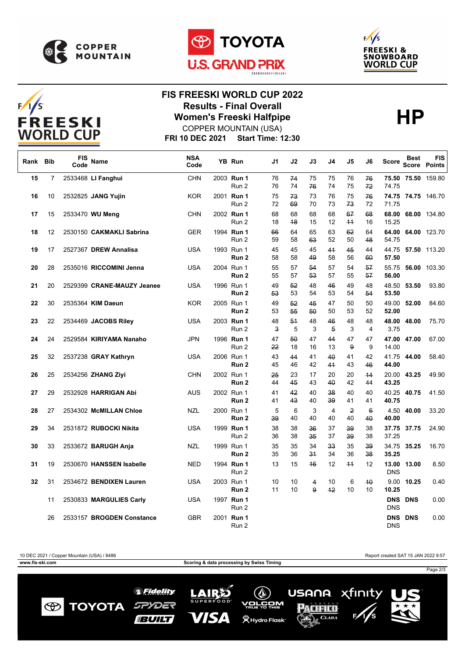





# $F/1/S$ **FREESKI WORLD CUP**

## **FIS FREESKI WORLD CUP 2022 Results - Final Overall<br>
Women's Freeski Halfpipe<br>
COPPER MOUNTAIN (USA)** COPPER MOUNTAIN (USA)

**FRI 10 DEC 2021 Start Time: 12:30**

| Rank | <b>Bib</b>     | <b>FIS</b><br>Code | Name                       | <b>NSA</b><br>Code | YB Run                         | J1       | J2       | J3       | J4                   | J5         | J6                | Score                    | <b>Best</b> | <b>FIS</b><br>Score Points |
|------|----------------|--------------------|----------------------------|--------------------|--------------------------------|----------|----------|----------|----------------------|------------|-------------------|--------------------------|-------------|----------------------------|
| 15   | $\overline{7}$ |                    | 2533468 LI Fanghui         | <b>CHN</b>         | 2003 Run 1<br>Run 2            | 76<br>76 | 74<br>74 | 75<br>76 | 75<br>74             | 76<br>75   | 76<br>72          | 74.75                    |             | 75.50 75.50 159.80         |
| 16   | 10             |                    | 2532825 JANG Yujin         | <b>KOR</b>         | 2001 Run 1<br>Run 2            | 75<br>72 | 73<br>69 | 73<br>70 | 76<br>73             | 75<br>73   | 76<br>72          | 71.75                    |             | 74.75 74.75 146.70         |
| 17   | 15             |                    | 2533470 WU Meng            | <b>CHN</b>         | 2002 Run 1<br>Run 2            | 68<br>18 | 68<br>48 | 68<br>15 | 68<br>12             | 67<br>$+4$ | 68<br>16          | 68.00<br>15.25           |             | 68.00 134.80               |
| 18   | 12             |                    | 2530150 CAKMAKLI Sabrina   | <b>GER</b>         | 1994 Run 1<br>Run 2            | 66<br>59 | 64<br>58 | 65<br>63 | 63<br>52             | 62<br>50   | 64<br>48          | 54.75                    |             | 64.00 64.00 123.70         |
| 19   | 17             |                    | 2527367 DREW Annalisa      | <b>USA</b>         | 1993 Run 1<br>Run 2            | 45<br>58 | 45<br>58 | 45<br>49 | 44<br>58             | 45<br>56   | 44<br>60          | 57.50                    |             | 44.75 57.50 113.20         |
| 20   | 28             |                    | 2535016 RICCOMINI Jenna    | <b>USA</b>         | 2004 Run 1<br>Run 2            | 55<br>55 | 57<br>57 | 54<br>53 | 57<br>57             | 54<br>55   | 57<br>57          | 55.75<br>56.00           |             | 56.00 103.30               |
| 21   | 20             |                    | 2529399 CRANE-MAUZY Jeanee | <b>USA</b>         | 1996 Run 1<br>Run 2            | 49<br>53 | 52<br>53 | 48<br>54 | 46<br>53             | 49<br>54   | 48<br>54          | 53.50                    | 48.50 53.50 | 93.80                      |
| 22   | 30             |                    | 2535364 KIM Daeun          | <b>KOR</b>         | 2005 Run 1<br>Run 2            | 49<br>53 | 52<br>55 | 45<br>50 | 47<br>50             | 50<br>53   | 50<br>52          | 52.00                    | 49.00 52.00 | 84.60                      |
| 23   | 22             |                    | 2534469 JACOBS Riley       | <b>USA</b>         | 2003 Run 1<br>Run 2            | 48<br>3  | 54<br>5  | 48<br>3  | 46<br>5              | 48<br>3    | 48<br>4           | 3.75                     | 48.00 48.00 | 75.70                      |
| 24   | 24             |                    | 2529584 KIRIYAMA Nanaho    | <b>JPN</b>         | 1996 Run 1<br>Run 2            | 47<br>22 | 50<br>18 | 47<br>16 | 44<br>13             | 47<br>9    | 47<br>9           | 14.00                    | 47.00 47.00 | 67.00                      |
| 25   | 32             |                    | 2537238 GRAY Kathryn       | <b>USA</b>         | 2006 Run 1<br>Run 2            | 43<br>45 | 44<br>46 | 41<br>42 | 40<br>41             | 41<br>43   | 42<br>46          | 44.00                    | 41.75 44.00 | 58.40                      |
| 26   | 25             |                    | 2534256 ZHANG Ziyi         | <b>CHN</b>         | 2002 Run 1<br>Run 2            | 25<br>44 | 23<br>45 | 17<br>43 | 20<br>40             | 20<br>42   | 44<br>44          | 43.25                    | 20.00 43.25 | 49.90                      |
| 27   | 29             |                    | 2532928 HARRIGAN Abi       | AUS                | 2002 Run 1<br>Run 2            | 41<br>41 | 42<br>43 | 40<br>40 | 38<br>39             | 40<br>41   | 40<br>41          | 40.75                    | 40.25 40.75 | 41.50                      |
| 28   | 27             |                    | 2534302 McMILLAN Chloe     | <b>NZL</b>         | 2000 Run 1<br>Run 2            | 5<br>39  | 6<br>40  | 3<br>40  | $\overline{4}$<br>40 | 2<br>40    | $6^{\circ}$<br>40 | 40.00                    | 4.50 40.00  | 33.20                      |
| 29   | 34             |                    | 2531872 RUBOCKI Nikita     | <b>USA</b>         | 1999 Run 1<br>Run 2            | 38<br>36 | 38<br>38 | 36<br>35 | 37<br>37             | 39<br>39   | 38<br>38          | 37.25                    | 37.75 37.75 | 24.90                      |
| 30   | 33             |                    | 2533672 <b>BARUGH Anja</b> | <b>NZL</b>         | 1999 Run 1<br>Run 2            | 35<br>35 | 35<br>36 | 34<br>34 | 33<br>34             | 35<br>36   | 39<br>38          | 35.25                    | 34.75 35.25 | 16.70                      |
| 31   | 19             |                    | 2530670 HANSSEN Isabelle   | <b>NED</b>         | 1994 Run 1<br>Run 2            | 13       | 15       | 46       | 12                   | $+4$       | 12                | <b>DNS</b>               | 13.00 13.00 | 8.50                       |
| 32   | 31             |                    | 2534672 BENDIXEN Lauren    | <b>USA</b>         | 2003 Run 1<br>Run <sub>2</sub> | 10<br>11 | 10<br>10 | 4<br>9   | 10<br>42             | 6<br>10    | $4\theta$<br>10   | 10.25                    | 9.00 10.25  | 0.40                       |
|      | 11             |                    | 2530833 MARGULIES Carly    | <b>USA</b>         | 1997 Run 1<br>Run 2            |          |          |          |                      |            |                   | <b>DNS</b>               | DNS DNS     | 0.00                       |
|      | 26             |                    | 2533157 BROGDEN Constance  | <b>GBR</b>         | 2001 Run 1<br>Run 2            |          |          |          |                      |            |                   | <b>DNS</b><br><b>DNS</b> | <b>DNS</b>  | 0.00                       |

10 DEC 2021 / Copper Mountain (USA) / 8486 Report created SAT 15 JAN 2022 9:57 **www.fis-ski.com Scoring & data processing by Swiss Timing** Page 2/3 xfinity USANA *SFidelity* LAIRS  $(\mathbb{Q})$ **SUPERFOOD TOYOTA** SPYDER v<u>orčo</u>m  $\circledast$ Pacifico **VISA**  $\overline{\bigwedge_{\mathcal{A}}$  CLARA **BUILT**  $\overset{\omega}{\blacktriangleright}$ Hydro Flask $^{\circ}$ Œ